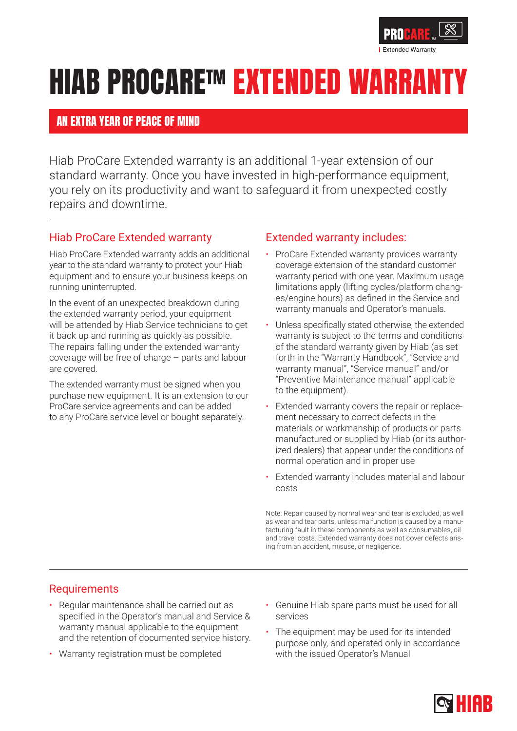

# **HIAB PROCARE<sup>TM</sup> EXTENDED WARR**

### AN EXTRA YEAR OF PEACE OF MIND

Hiab ProCare Extended warranty is an additional 1-year extension of our standard warranty. Once you have invested in high-performance equipment, you rely on its productivity and want to safeguard it from unexpected costly repairs and downtime.

### Hiab ProCare Extended warranty

Hiab ProCare Extended warranty adds an additional year to the standard warranty to protect your Hiab equipment and to ensure your business keeps on running uninterrupted.

In the event of an unexpected breakdown during the extended warranty period, your equipment will be attended by Hiab Service technicians to get it back up and running as quickly as possible. The repairs falling under the extended warranty coverage will be free of charge – parts and labour are covered.

The extended warranty must be signed when you purchase new equipment. It is an extension to our ProCare service agreements and can be added to any ProCare service level or bought separately.

#### Extended warranty includes:

- ProCare Extended warranty provides warranty coverage extension of the standard customer warranty period with one year. Maximum usage limitations apply (lifting cycles/platform changes/engine hours) as defined in the Service and warranty manuals and Operator's manuals.
- Unless specifically stated otherwise, the extended warranty is subject to the terms and conditions of the standard warranty given by Hiab (as set forth in the "Warranty Handbook", "Service and warranty manual", "Service manual" and/or "Preventive Maintenance manual" applicable to the equipment).
- Extended warranty covers the repair or replacement necessary to correct defects in the materials or workmanship of products or parts manufactured or supplied by Hiab (or its authorized dealers) that appear under the conditions of normal operation and in proper use
- Extended warranty includes material and labour costs

Note: Repair caused by normal wear and tear is excluded, as well as wear and tear parts, unless malfunction is caused by a manufacturing fault in these components as well as consumables, oil and travel costs. Extended warranty does not cover defects arising from an accident, misuse, or negligence.

#### Requirements

- Regular maintenance shall be carried out as specified in the Operator's manual and Service & warranty manual applicable to the equipment and the retention of documented service history.
- Warranty registration must be completed
- Genuine Hiab spare parts must be used for all services
- The equipment may be used for its intended purpose only, and operated only in accordance with the issued Operator's Manual